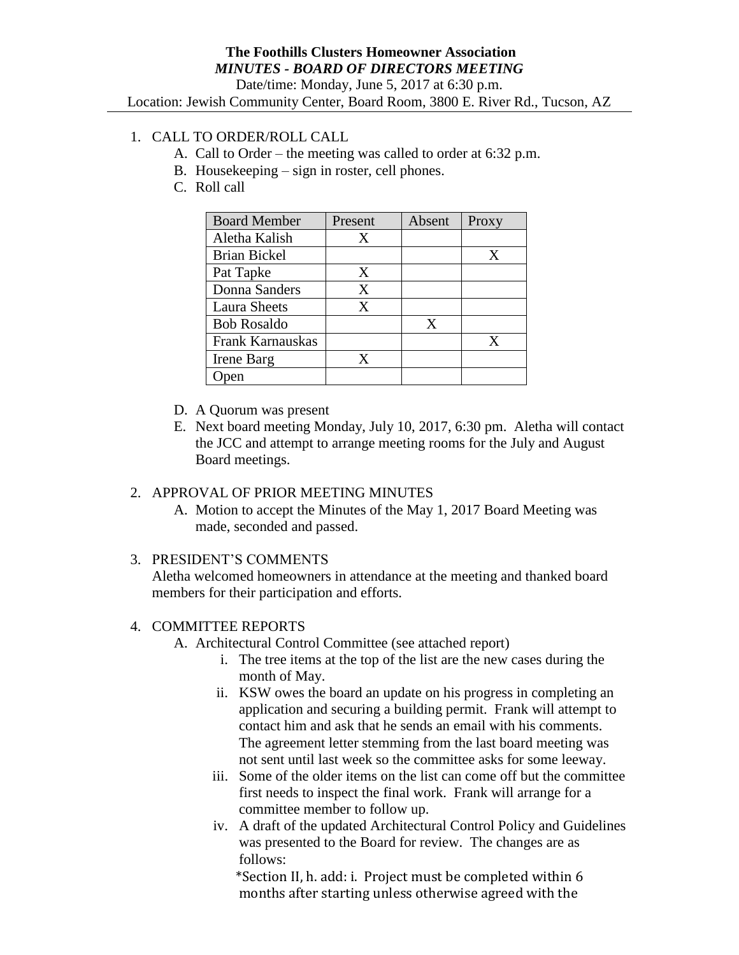## 1. CALL TO ORDER/ROLL CALL

- A. Call to Order the meeting was called to order at 6:32 p.m.
- B. Housekeeping sign in roster, cell phones.
- C. Roll call

| <b>Board Member</b> | Present | Absent | Proxy |
|---------------------|---------|--------|-------|
| Aletha Kalish       | X       |        |       |
| <b>Brian Bickel</b> |         |        | X     |
| Pat Tapke           | Χ       |        |       |
| Donna Sanders       | X       |        |       |
| <b>Laura Sheets</b> | X       |        |       |
| <b>Bob Rosaldo</b>  |         | X      |       |
| Frank Karnauskas    |         |        | X     |
| Irene Barg          | X       |        |       |
|                     |         |        |       |

- D. A Quorum was present
- E. Next board meeting Monday, July 10, 2017, 6:30 pm. Aletha will contact the JCC and attempt to arrange meeting rooms for the July and August Board meetings.

## 2. APPROVAL OF PRIOR MEETING MINUTES

A. Motion to accept the Minutes of the May 1, 2017 Board Meeting was made, seconded and passed.

### 3. PRESIDENT'S COMMENTS

Aletha welcomed homeowners in attendance at the meeting and thanked board members for their participation and efforts.

### 4. COMMITTEE REPORTS

A. Architectural Control Committee (see attached report)

- i. The tree items at the top of the list are the new cases during the month of May.
- ii. KSW owes the board an update on his progress in completing an application and securing a building permit. Frank will attempt to contact him and ask that he sends an email with his comments. The agreement letter stemming from the last board meeting was not sent until last week so the committee asks for some leeway.
- iii. Some of the older items on the list can come off but the committee first needs to inspect the final work. Frank will arrange for a committee member to follow up.
- iv. A draft of the updated Architectural Control Policy and Guidelines was presented to the Board for review. The changes are as follows:

 \*Section II, h. add: i. Project must be completed within 6 months after starting unless otherwise agreed with the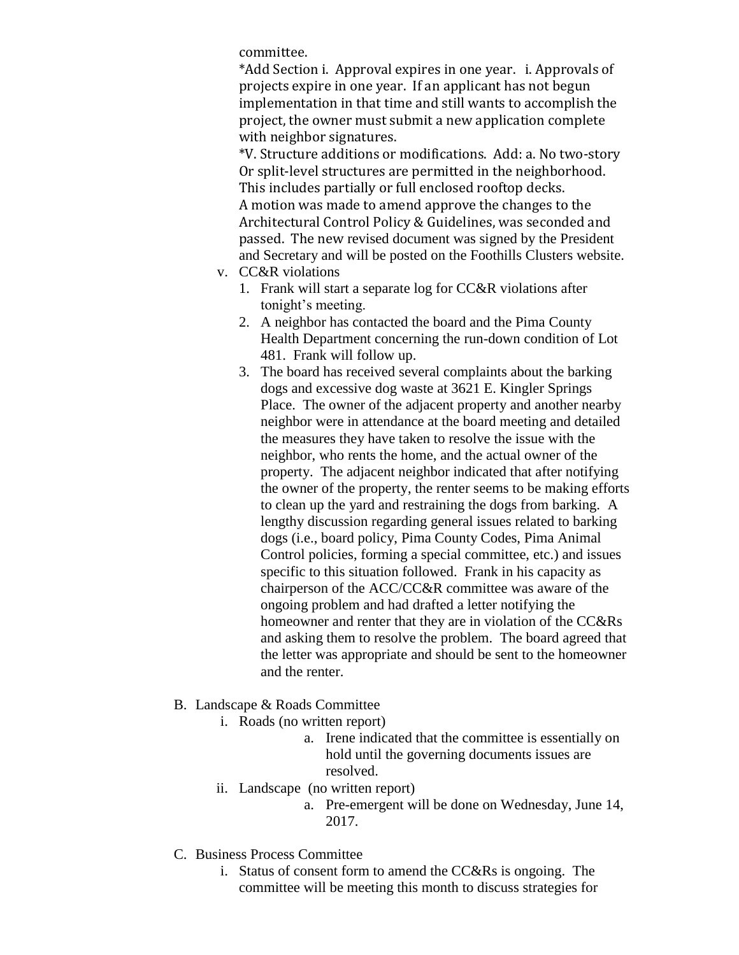committee.

\*Add Section i. Approval expires in one year. i. Approvals of projects expire in one year. If an applicant has not begun implementation in that time and still wants to accomplish the project, the owner must submit a new application complete with neighbor signatures.

\*V. Structure additions or modifications. Add: a. No two-story Or split-level structures are permitted in the neighborhood. This includes partially or full enclosed rooftop decks. A motion was made to amend approve the changes to the Architectural Control Policy & Guidelines, was seconded and passed. The new revised document was signed by the President and Secretary and will be posted on the Foothills Clusters website.

- v. CC&R violations
	- 1. Frank will start a separate log for CC&R violations after tonight's meeting.
	- 2. A neighbor has contacted the board and the Pima County Health Department concerning the run-down condition of Lot 481. Frank will follow up.
	- 3. The board has received several complaints about the barking dogs and excessive dog waste at 3621 E. Kingler Springs Place. The owner of the adjacent property and another nearby neighbor were in attendance at the board meeting and detailed the measures they have taken to resolve the issue with the neighbor, who rents the home, and the actual owner of the property. The adjacent neighbor indicated that after notifying the owner of the property, the renter seems to be making efforts to clean up the yard and restraining the dogs from barking. A lengthy discussion regarding general issues related to barking dogs (i.e., board policy, Pima County Codes, Pima Animal Control policies, forming a special committee, etc.) and issues specific to this situation followed. Frank in his capacity as chairperson of the ACC/CC&R committee was aware of the ongoing problem and had drafted a letter notifying the homeowner and renter that they are in violation of the CC&Rs and asking them to resolve the problem. The board agreed that the letter was appropriate and should be sent to the homeowner and the renter.
- B. Landscape & Roads Committee
	- i. Roads (no written report)
		- a. Irene indicated that the committee is essentially on hold until the governing documents issues are resolved.
	- ii. Landscape (no written report)
		- a. Pre-emergent will be done on Wednesday, June 14, 2017.
- C. Business Process Committee
	- i. Status of consent form to amend the CC&Rs is ongoing. The committee will be meeting this month to discuss strategies for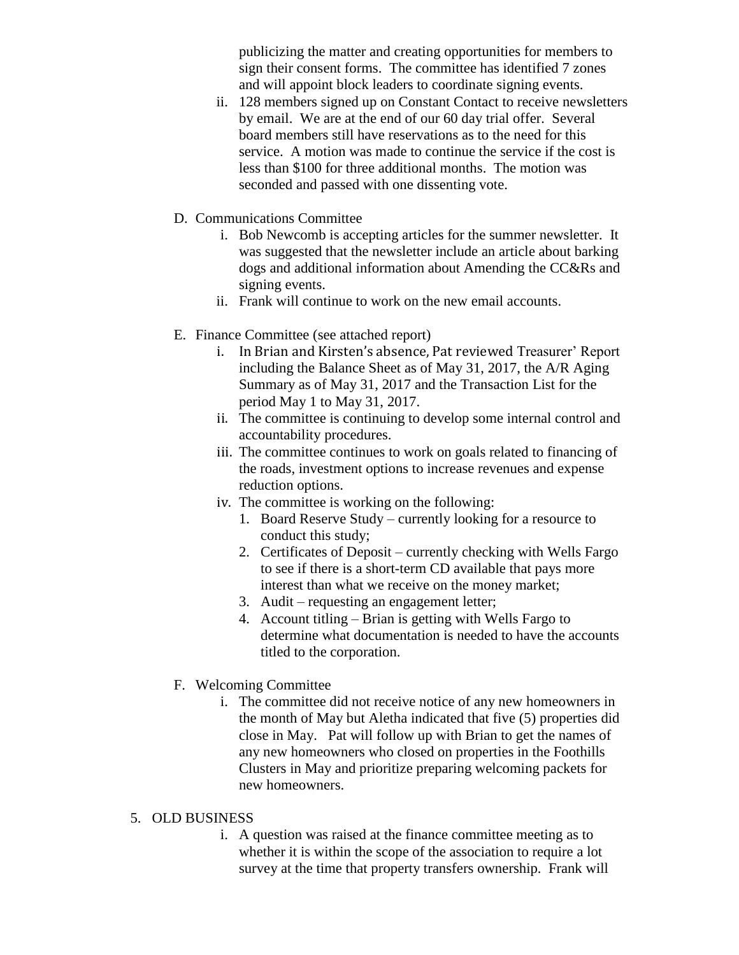publicizing the matter and creating opportunities for members to sign their consent forms. The committee has identified 7 zones and will appoint block leaders to coordinate signing events.

- ii. 128 members signed up on Constant Contact to receive newsletters by email. We are at the end of our 60 day trial offer. Several board members still have reservations as to the need for this service. A motion was made to continue the service if the cost is less than \$100 for three additional months. The motion was seconded and passed with one dissenting vote.
- D. Communications Committee
	- i. Bob Newcomb is accepting articles for the summer newsletter. It was suggested that the newsletter include an article about barking dogs and additional information about Amending the CC&Rs and signing events.
	- ii. Frank will continue to work on the new email accounts.
- E. Finance Committee (see attached report)
	- i. In Brian and Kirsten's absence, Pat reviewed Treasurer' Report including the Balance Sheet as of May 31, 2017, the A/R Aging Summary as of May 31, 2017 and the Transaction List for the period May 1 to May 31, 2017.
	- ii. The committee is continuing to develop some internal control and accountability procedures.
	- iii. The committee continues to work on goals related to financing of the roads, investment options to increase revenues and expense reduction options.
	- iv. The committee is working on the following:
		- 1. Board Reserve Study currently looking for a resource to conduct this study;
		- 2. Certificates of Deposit currently checking with Wells Fargo to see if there is a short-term CD available that pays more interest than what we receive on the money market;
		- 3. Audit requesting an engagement letter;
		- 4. Account titling Brian is getting with Wells Fargo to determine what documentation is needed to have the accounts titled to the corporation.
- F. Welcoming Committee
	- i. The committee did not receive notice of any new homeowners in the month of May but Aletha indicated that five (5) properties did close in May. Pat will follow up with Brian to get the names of any new homeowners who closed on properties in the Foothills Clusters in May and prioritize preparing welcoming packets for new homeowners.

#### 5. OLD BUSINESS

i. A question was raised at the finance committee meeting as to whether it is within the scope of the association to require a lot survey at the time that property transfers ownership. Frank will